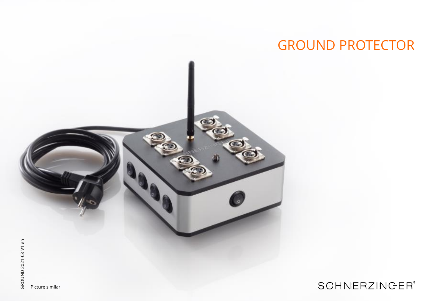# GROUND PROTECTOR

**SCHNERZINGER®** 

Picture similar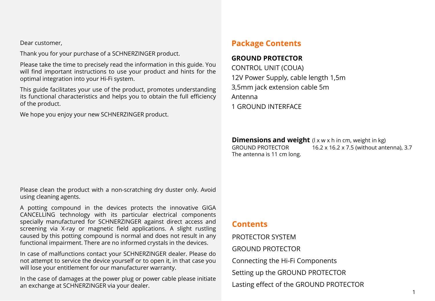Dear customer,

Thank you for your purchase of a SCHNERZINGER product.

Please take the time to precisely read the information in this guide. You will find important instructions to use your product and hints for the optimal integration into your Hi-Fi system.

This guide facilitates your use of the product, promotes understanding its functional characteristics and helps you to obtain the full efficiency of the product.

We hope you enjoy your new SCHNERZINGER product.

# **Package Contents**

### **GROUND PROTECTOR**

CONTROL UNIT (COUA) 12V Power Supply, cable length 1,5m 3,5mm jack extension cable 5m Antenna 1 GROUND INTERFACE

**Dimensions and weight** (I x w x h in cm, weight in kg)<br>GROUND PROTECTOR 16.2 x 16.2 x 7.5 (without ant 16.2 x 16.2 x 7.5 (without antenna), 3.7 The antenna is 11 cm long.

Please clean the product with a non-scratching dry duster only. Avoid using cleaning agents.

A potting compound in the devices protects the innovative GIGA CANCELLING technology with its particular electrical components specially manufactured for SCHNERZINGER against direct access and screening via X-ray or magnetic field applications. A slight rustling caused by this potting compound is normal and does not result in any functional impairment. There are no informed crystals in the devices.

In case of malfunctions contact your SCHNERZINGER dealer. Please do not attempt to service the device yourself or to open it, in that case you will lose your entitlement for our manufacturer warranty.

In the case of damages at the power plug or power cable please initiate an exchange at SCHNERZINGER via your dealer.

## **Contents**

PROTECTOR SYSTEM GROUND PROTECTOR Connecting the Hi-Fi Components Setting up the GROUND PROTECTOR Lasting effect of the GROUND PROTECTOR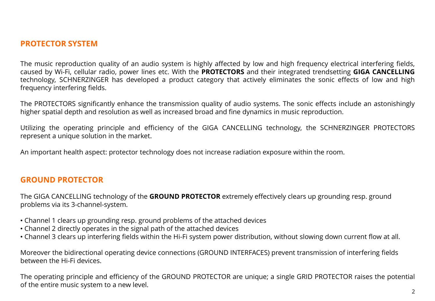# **PROTECTOR SYSTEM**

The music reproduction quality of an audio system is highly affected by low and high frequency electrical interfering fields, caused by Wi-Fi, cellular radio, power lines etc. With the **PROTECTORS** and their integrated trendsetting **GIGA CANCELLING** technology, SCHNERZINGER has developed a product category that actively eliminates the sonic effects of low and high frequency interfering fields.

The PROTECTORS significantly enhance the transmission quality of audio systems. The sonic effects include an astonishingly higher spatial depth and resolution as well as increased broad and fine dynamics in music reproduction.

Utilizing the operating principle and efficiency of the GIGA CANCELLING technology, the SCHNERZINGER PROTECTORS represent a unique solution in the market.

An important health aspect: protector technology does not increase radiation exposure within the room.

### **GROUND PROTECTOR**

The GIGA CANCELLING technology of the **GROUND PROTECTOR** extremely effectively clears up grounding resp. ground problems via its 3-channel-system.

- Channel 1 clears up grounding resp. ground problems of the attached devices
- Channel 2 directly operates in the signal path of the attached devices
- Channel 3 clears up interfering fields within the Hi-Fi system power distribution, without slowing down current flow at all.

Moreover the bidirectional operating device connections (GROUND INTERFACES) prevent transmission of interfering fields between the Hi-Fi devices.

The operating principle and efficiency of the GROUND PROTECTOR are unique; a single GRID PROTECTOR raises the potential of the entire music system to a new level.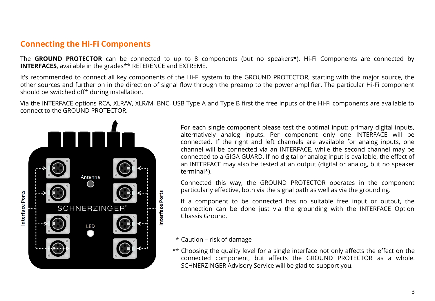# **Connecting the Hi-Fi Components**

The **GROUND PROTECTOR** can be connected to up to 8 components (but no speakers\*). Hi-Fi Components are connected by **INTERFACES**, available in the grades\*\* REFERENCE and EXTREME.

It's recommended to connect all key components of the Hi-Fi system to the GROUND PROTECTOR, starting with the major source, the other sources and further on in the direction of signal flow through the preamp to the power amplifier. The particular Hi-Fi component should be switched off\* during installation.

Via the INTERFACE options RCA, XLR/W, XLR/M, BNC, USB Type A and Type B first the free inputs of the Hi-Fi components are available to connect to the GROUND PROTECTOR.



For each single component please test the optimal input; primary digital inputs, alternatively analog inputs. Per component only one INTERFACE will be connected. If the right and left channels are available for analog inputs, one channel will be connected via an INTERFACE, while the second channel may be connected to a GIGA GUARD. If no digital or analog input is available, the effect of an INTERFACE may also be tested at an output (digital or analog, but no speaker terminal\*).

Connected this way, the GROUND PROTECTOR operates in the component particularly effective, both via the signal path as well as via the grounding.

If a component to be connected has no suitable free input or output, the connection can be done just via the grounding with the INTERFACE Option Chassis Ground.

- $^{\star}$  Caution risk of damage
- Choosing the quality level for a single interface not only affects the effect on the \*\*connected component, but affects the GROUND PROTECTOR as a whole. SCHNERZINGER Advisory Service will be glad to support you.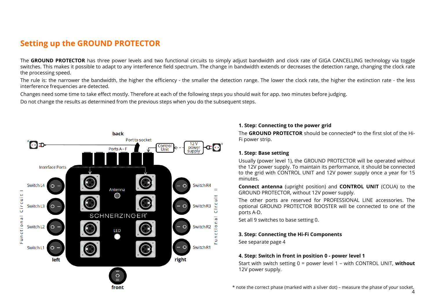# **Setting up the GROUND PROTECTOR**

The GROUND PROTECTOR has three power levels and two functional circuits to simply adjust bandwidth and clock rate of GIGA CANCELLING technology via toggle switches. This makes it possible to adapt to any interference field spectrum. The change in bandwidth extends or decreases the detection range, changing the clock rate the processing speed.

The rule is: the narrower the bandwidth, the higher the efficiency - the smaller the detection range. The lower the clock rate, the higher the extinction rate - the less interference frequencies are detected.

Changes need some time to take effect mostly. Therefore at each of the following steps you should wait for app. two minutes before judging.

Do not change the results as determined from the previous steps when you do the subsequent steps.



#### **1. Step: Connecting to the power grid**

The **GROUND PROTECTOR** should be connected\* to the first slot of the Hi-Fi power strip.

#### **1. Step: Base setting**

Usually (power level 1), the GROUND PROTECTOR will be operated without the 12V power supply. To maintain its performance, it should be connected to the grid with CONTROL UNIT and 12V power supply once a year for 15 minutes.

**Connect antenna** (upright position) and **CONTROL UNIT** (COUA) to the GROUND PROTECTOR, without 12V power supply.

The other ports are reserved for PROFESSIONAL LINE accessories. The optional GROUND PROTECTOR BOOSTER will be connected to one of the ports A-D.

Set all 9 switches to base setting 0.

#### **3. Step: Connecting the Hi-Fi Components**

See separate page 4

#### **4. Step: Switch in front in position 0 - power level 1**

Start with switch setting 0 = power level 1 – with CONTROL UNIT, **without** 12V power supply.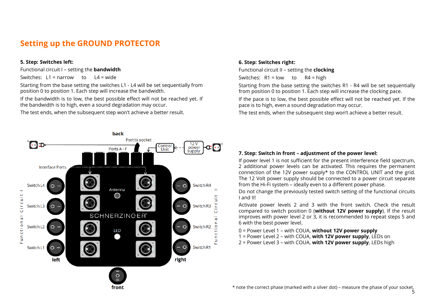# **Setting up the GROUND PROTECTOR**

#### **5. Step: Switches left:**

Functional circuit I – setting the **bandwidth**

Switches:  $L1 =$  narrow to  $L4 =$  wide

Starting from the base setting the switches L1 - L4 will be set sequentially from position 0 to position 1. Each step will increase the bandwidth.

If the bandwidth is to low, the best possible effect will not be reached yet. If the bandwidth is to high, even a sound degradation may occur.

The test ends, when the subsequent step won't achieve a better result.

#### **6. Step: Switches right:**

Functional circuit II – setting the **clocking**

Switches:  $R1 = low$  to  $R4 = high$ 

Starting from the base setting the switches R1 - R4 will be set sequentially from position 0 to position 1. Each step will increase the clocking pace.

If the pace is to low, the best possible effect will not be reached yet. If the pace is to high, even a sound degradation may occur.

The test ends, when the subsequent step won't achieve a better result.



#### **7. Step: Switch in front – adjustment of the power level:**

If power level 1 is not sufficient for the present interference field spectrum, 2 additional power levels can be activated. This requires the permanent connection of the 12V power supply\* to the CONTROL UNIT and the grid. The 12 Volt power supply should be connected to a power circuit separate from the Hi-Fi system – ideally even to a different power phase.

Do not change the previously tested switch setting of the functional circuits I and II!

Activate power levels 2 and 3 with the front switch. Check the result compared to switch position 0 (**without 12V power supply**). If the result improves with power level 2 or 3, it is recommended to repeat steps 5 and 6 with the best power level.

0 = Power Level 1 – with COUA, **without 12V power supply**

- 1 = Power Level 2 with COUA, **with 12V power supply**, LEDs on
- 2 = Power Level 3 with COUA, **with 12V power supply**, LEDs high